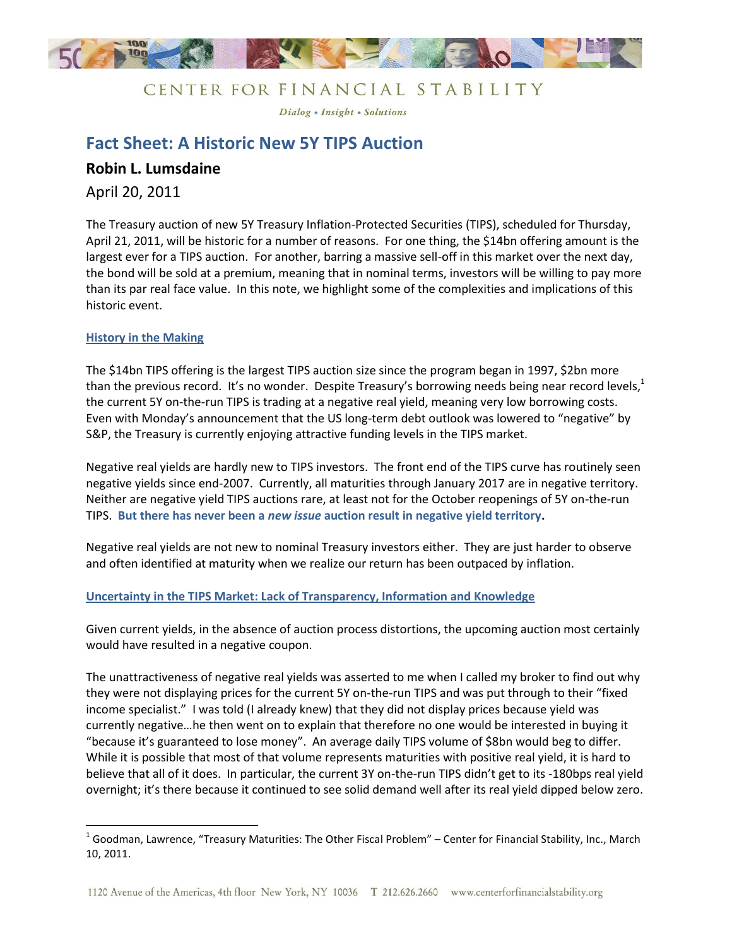

### CENTER FOR FINANCIAL STABILITY

Dialog . Insight . Solutions

# **Fact Sheet: A Historic New 5Y TIPS Auction**

### **Robin L. Lumsdaine**

April 20, 2011

The Treasury auction of new 5Y Treasury Inflation-Protected Securities (TIPS), scheduled for Thursday, April 21, 2011, will be historic for a number of reasons. For one thing, the \$14bn offering amount is the largest ever for a TIPS auction. For another, barring a massive sell-off in this market over the next day, the bond will be sold at a premium, meaning that in nominal terms, investors will be willing to pay more than its par real face value. In this note, we highlight some of the complexities and implications of this historic event.

### **History in the Making**

l

The \$14bn TIPS offering is the largest TIPS auction size since the program began in 1997, \$2bn more than the previous record. It's no wonder. Despite Treasury's borrowing needs being near record levels,<sup>1</sup> the current 5Y on-the-run TIPS is trading at a negative real yield, meaning very low borrowing costs. Even with Monday's announcement that the US long-term debt outlook was lowered to "negative" by S&P, the Treasury is currently enjoying attractive funding levels in the TIPS market.

Negative real yields are hardly new to TIPS investors. The front end of the TIPS curve has routinely seen negative yields since end-2007. Currently, all maturities through January 2017 are in negative territory. Neither are negative yield TIPS auctions rare, at least not for the October reopenings of 5Y on-the-run TIPS. **But there has never been a** *new issue* **auction result in negative yield territory.** 

Negative real yields are not new to nominal Treasury investors either. They are just harder to observe and often identified at maturity when we realize our return has been outpaced by inflation.

### **Uncertainty in the TIPS Market: Lack of Transparency, Information and Knowledge**

Given current yields, in the absence of auction process distortions, the upcoming auction most certainly would have resulted in a negative coupon.

The unattractiveness of negative real yields was asserted to me when I called my broker to find out why they were not displaying prices for the current 5Y on-the-run TIPS and was put through to their "fixed income specialist." I was told (I already knew) that they did not display prices because yield was currently negative…he then went on to explain that therefore no one would be interested in buying it "because it's guaranteed to lose money". An average daily TIPS volume of \$8bn would beg to differ. While it is possible that most of that volume represents maturities with positive real yield, it is hard to believe that all of it does. In particular, the current 3Y on-the-run TIPS didn't get to its -180bps real yield overnight; it's there because it continued to see solid demand well after its real yield dipped below zero.

 $^1$  Goodman, Lawrence, "Treasury Maturities: The Other Fiscal Problem" – Center for Financial Stability, Inc., March 10, 2011.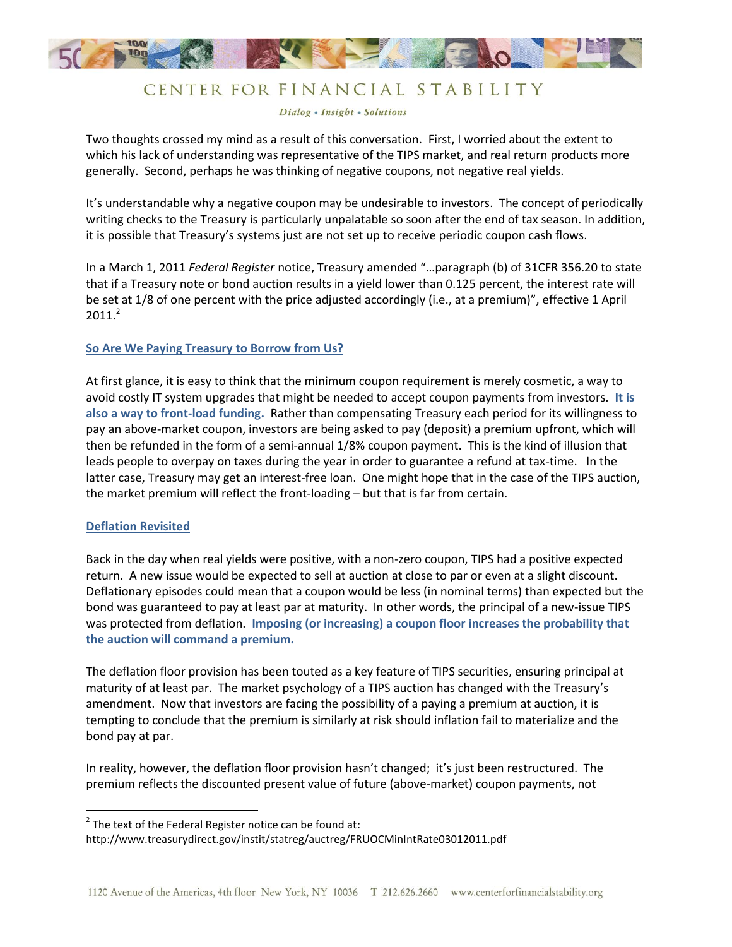

## CENTER FOR FINANCIAL STABILITY

Dialog . Insight . Solutions

Two thoughts crossed my mind as a result of this conversation. First, I worried about the extent to which his lack of understanding was representative of the TIPS market, and real return products more generally. Second, perhaps he was thinking of negative coupons, not negative real yields.

It's understandable why a negative coupon may be undesirable to investors. The concept of periodically writing checks to the Treasury is particularly unpalatable so soon after the end of tax season. In addition, it is possible that Treasury's systems just are not set up to receive periodic coupon cash flows.

In a March 1, 2011 *Federal Register* notice, Treasury amended "…paragraph (b) of 31CFR 356.20 to state that if a Treasury note or bond auction results in a yield lower than 0.125 percent, the interest rate will be set at 1/8 of one percent with the price adjusted accordingly (i.e., at a premium)", effective 1 April  $2011.<sup>2</sup>$ 

### **So Are We Paying Treasury to Borrow from Us?**

At first glance, it is easy to think that the minimum coupon requirement is merely cosmetic, a way to avoid costly IT system upgrades that might be needed to accept coupon payments from investors. **It is also a way to front-load funding.** Rather than compensating Treasury each period for its willingness to pay an above-market coupon, investors are being asked to pay (deposit) a premium upfront, which will then be refunded in the form of a semi-annual 1/8% coupon payment. This is the kind of illusion that leads people to overpay on taxes during the year in order to guarantee a refund at tax-time. In the latter case, Treasury may get an interest-free loan. One might hope that in the case of the TIPS auction, the market premium will reflect the front-loading – but that is far from certain.

### **Deflation Revisited**

 $\overline{\phantom{a}}$ 

Back in the day when real yields were positive, with a non-zero coupon, TIPS had a positive expected return. A new issue would be expected to sell at auction at close to par or even at a slight discount. Deflationary episodes could mean that a coupon would be less (in nominal terms) than expected but the bond was guaranteed to pay at least par at maturity. In other words, the principal of a new-issue TIPS was protected from deflation. **Imposing (or increasing) a coupon floor increases the probability that the auction will command a premium.**

The deflation floor provision has been touted as a key feature of TIPS securities, ensuring principal at maturity of at least par. The market psychology of a TIPS auction has changed with the Treasury's amendment. Now that investors are facing the possibility of a paying a premium at auction, it is tempting to conclude that the premium is similarly at risk should inflation fail to materialize and the bond pay at par.

In reality, however, the deflation floor provision hasn't changed; it's just been restructured. The premium reflects the discounted present value of future (above-market) coupon payments, not

 $2$  The text of the Federal Register notice can be found at:

http://www.treasurydirect.gov/instit/statreg/auctreg/FRUOCMinIntRate03012011.pdf